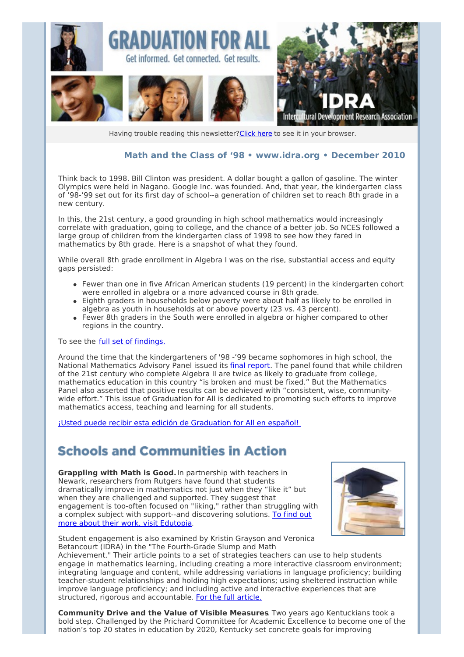

Having trouble reading this newsletter? Click here to see it in your browser.

#### **Math and the Class of '98 • [www.idra.org](http://newsletter.impulsedevelopment.com/t/1/l/giiukd/l/www.idra.org) • December 2010**

Think back to 1998. Bill Clinton was president. A dollar bought a gallon of gasoline. The winter Olympics were held in Nagano. Google Inc. was founded. And, that year, the kindergarten class of '98-'99 set out for its first day of school--a generation of children set to reach 8th grade in a new century.

In this, the 21st century, a good grounding in high school mathematics would increasingly correlate with graduation, going to college, and the chance of a better job. So NCES followed a large group of children from the kindergarten class of 1998 to see how they fared in mathematics by 8th grade. Here is a snapshot of what they found.

While overall 8th grade enrollment in Algebra I was on the rise, substantial access and equity gaps persisted:

- Fewer than one in five African American students (19 percent) in the kindergarten cohort were enrolled in algebra or a more advanced course in 8th grade.
- Eighth graders in households below poverty were about half as likely to be enrolled in algebra as youth in households at or above poverty (23 vs. 43 percent).
- Fewer 8th graders in the South were enrolled in algebra or higher compared to other regions in the country.

To see the full set of [findings.](http://newsletter.impulsedevelopment.com/t/r/l/giiukd/l/r)

Around the time that the kindergarteners of '98 -'99 became sophomores in high school, the National Mathematics Advisory Panel issued its final [report](http://newsletter.impulsedevelopment.com/t/r/l/giiukd/l/y). The panel found that while children of the 21st century who complete Algebra II are twice as likely to graduate from college, mathematics education in this country "is broken and must be fixed." But the Mathematics Panel also asserted that positive results can be achieved with "consistent, wise, communitywide effort." This issue of Graduation for All is dedicated to promoting such efforts to improve mathematics access, teaching and learning for all students.

¡Usted puede recibir esta edición de [Graduation](http://newsletter.impulsedevelopment.com/t/r/l/giiukd/l/j) for All en español!

#### **Schools and Communities in Action**

**Grappling with Math is Good.**In partnership with teachers in Newark, researchers from Rutgers have found that students dramatically improve in mathematics not just when they "like it" but when they are challenged and supported. They suggest that engagement is too-often focused on "liking," rather than struggling with a complex subject with [support--and](http://newsletter.impulsedevelopment.com/t/r/l/giiukd/l/t) discovering solutions. To find out more about their work, visit Edutopia.



Student engagement is also examined by Kristin Grayson and Veronica Betancourt (IDRA) in the "The Fourth-Grade Slump and Math

Achievement." Their article points to a set of strategies teachers can use to help students engage in mathematics learning, including creating a more interactive classroom environment; integrating language and content, while addressing variations in language proficiency; building teacher-student relationships and holding high expectations; using sheltered instruction while improve language proficiency; and including active and interactive experiences that are structured, rigorous and accountable. For the full [article.](http://newsletter.impulsedevelopment.com/t/r/l/giiukd/l/i)

**Community Drive and the Value of Visible Measures**. Two years ago Kentuckians took a bold step. Challenged by the Prichard Committee for Academic Excellence to become one of the nation's top 20 states in education by 2020, Kentucky set concrete goals for improving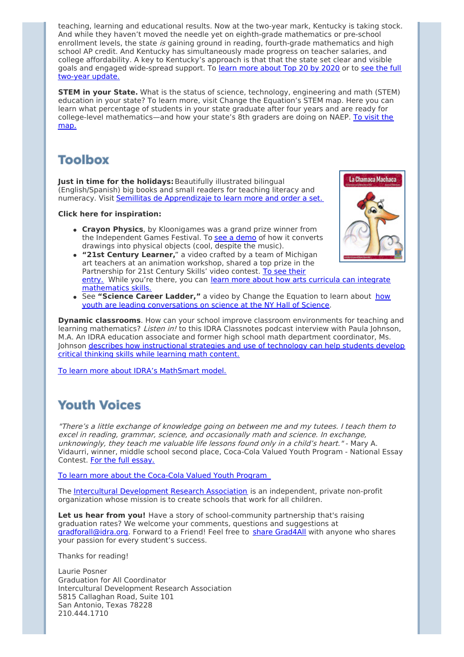teaching, learning and educational results. Now at the two-year mark, Kentucky is taking stock. And while they haven't moved the needle yet on eighth-grade mathematics or pre-school enrollment levels, the state is gaining ground in reading, fourth-grade mathematics and high school AP credit. And Kentucky has simultaneously made progress on teacher salaries, and college affordability. A key to Kentucky's approach is that that the state set clear and visible goals and engaged [wide-spread](http://newsletter.impulsedevelopment.com/t/r/l/giiukd/l/h) support. To learn more [about](http://newsletter.impulsedevelopment.com/t/r/l/giiukd/l/d) Top 20 by 2020 or to see the full two-year update.

**STEM in your State.** What is the status of science, technology, engineering and math (STEM) education in your state? To learn more, visit Change the Equation's STEM map. Here you can learn what percentage of students in your state graduate after four years and are ready for college-level [mathematics—and](http://newsletter.impulsedevelopment.com/t/r/l/giiukd/l/k) how your state's 8th graders are doing on NAEP. To visit the map.

# **Toolbox**

**Just in time for the holidays:**Beautifully illustrated bilingual (English/Spanish) big books and small readers for teaching literacy and numeracy. Visit Semillitas de [Apprendizaje](http://newsletter.impulsedevelopment.com/t/r/l/giiukd/l/u) to learn more and order a set.

#### **Click here for inspiration:**

- **Crayon Physics**, by Kloonigames was a grand prize winner from the Independent Games Festival. To see a [demo](http://newsletter.impulsedevelopment.com/t/r/l/giiukd/l/o) of how it converts drawings into physical objects (cool, despite the music).
- **"21st Century Learner,**" a video crafted by a team of Michigan art teachers at an animation workshop, shared a top prize in the [Partnership](http://newsletter.impulsedevelopment.com/t/r/l/giiukd/l/b) for 21st Century Skills' video contest. To see their entry. While you're there, you can learn more about how arts curricula can integrate [mathematics](http://newsletter.impulsedevelopment.com/t/r/l/giiukd/l/n) skills.
- See **"Science Career Ladder,"** a video by Change the Equation to learn about how youth are leading [conversations](http://newsletter.impulsedevelopment.com/t/r/l/giiukd/l/p) on science at the NY Hall of Science.

**Dynamic classrooms**. How can your school improve classroom environments for teaching and learning mathematics? Listen in! to this IDRA Classnotes podcast interview with Paula Johnson, M.A. An IDRA education associate and former high school math department coordinator, Ms. Johnson describes how [instructional](http://newsletter.impulsedevelopment.com/t/r/l/giiukd/l/x) strategies and use of technology can help students develop critical thinking skills while learning math content.

To learn more about IDRA's [MathSmart](http://newsletter.impulsedevelopment.com/t/r/l/giiukd/l/m) model.

## **Youth Voices**

"There's <sup>a</sup> little exchange of knowledge going on between me and my tutees. I teach them to excel in reading, grammar, science, and occasionally math and science. In exchange, unknowingly, they teach me valuable life lessons found only in <sup>a</sup> child's heart." - Mary A. Vidaurri, winner, middle school second place, Coca-Cola Valued Youth Program - National Essay Contest. For the full [essay.](http://newsletter.impulsedevelopment.com/t/r/l/giiukd/l/c)

To learn more about the [Coca-Cola](http://newsletter.impulsedevelopment.com/t/r/l/giiukd/l/q) Valued Youth Program

The Intercultural [Development](http://newsletter.impulsedevelopment.com/t/r/l/giiukd/l/a) Research Association is an independent, private non-profit organization whose mission is to create schools that work for all children.

**Let us hear from you!** Have a story of school-community partnership that's raising graduation rates? We welcome your comments, questions and suggestions at [gradforall@idra.org](mailto:gradforall@idra.org?subject=Nov-Dec Issue - Mathematics). Forward to a Friend! Feel free to share [Grad4All](http://newsletter.impulsedevelopment.com/t/r/l/giiukd/l/f) with anyone who shares your passion for every student's success.

Thanks for reading!

Laurie Posner Graduation for All Coordinator Intercultural Development Research Association 5815 Callaghan Road, Suite 101 San Antonio, Texas 78228 210.444.1710